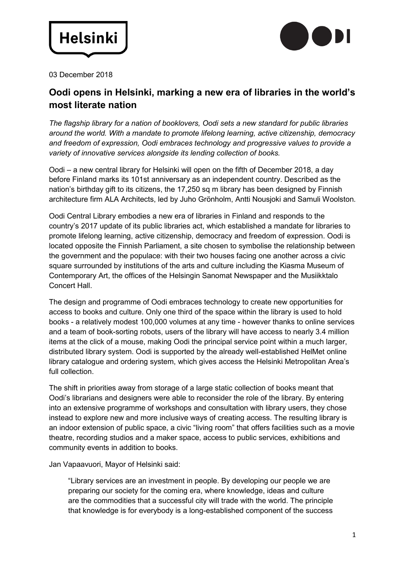



03 December 2018

## **Oodi opens in Helsinki, marking a new era of libraries in the world's most literate nation**

*The flagship library for a nation of booklovers, Oodi sets a new standard for public libraries around the world. With a mandate to promote lifelong learning, active citizenship, democracy and freedom of expression, Oodi embraces technology and progressive values to provide a variety of innovative services alongside its lending collection of books.*

Oodi – a new central library for Helsinki will open on the fifth of December 2018, a day before Finland marks its 101st anniversary as an independent country. Described as the nation's birthday gift to its citizens, the 17,250 sq m library has been designed by Finnish architecture firm ALA Architects, led by Juho Grönholm, Antti Nousjoki and Samuli Woolston.

Oodi Central Library embodies a new era of libraries in Finland and responds to the country's 2017 update of its public libraries act, which established a mandate for libraries to promote lifelong learning, active citizenship, democracy and freedom of expression. Oodi is located opposite the Finnish Parliament, a site chosen to symbolise the relationship between the government and the populace: with their two houses facing one another across a civic square surrounded by institutions of the arts and culture including the Kiasma Museum of Contemporary Art, the offices of the Helsingin Sanomat Newspaper and the Musiikktalo Concert Hall.

The design and programme of Oodi embraces technology to create new opportunities for access to books and culture. Only one third of the space within the library is used to hold books - a relatively modest 100,000 volumes at any time - however thanks to online services and a team of book-sorting robots, users of the library will have access to nearly 3.4 million items at the click of a mouse, making Oodi the principal service point within a much larger, distributed library system. Oodi is supported by the already well-established HelMet online library catalogue and ordering system, which gives access the Helsinki Metropolitan Area's full collection.

The shift in priorities away from storage of a large static collection of books meant that Oodi's librarians and designers were able to reconsider the role of the library. By entering into an extensive programme of workshops and consultation with library users, they chose instead to explore new and more inclusive ways of creating access. The resulting library is an indoor extension of public space, a civic "living room" that offers facilities such as a movie theatre, recording studios and a maker space, access to public services, exhibitions and community events in addition to books.

Jan Vapaavuori, Mayor of Helsinki said:

"Library services are an investment in people. By developing our people we are preparing our society for the coming era, where knowledge, ideas and culture are the commodities that a successful city will trade with the world. The principle that knowledge is for everybody is a long-established component of the success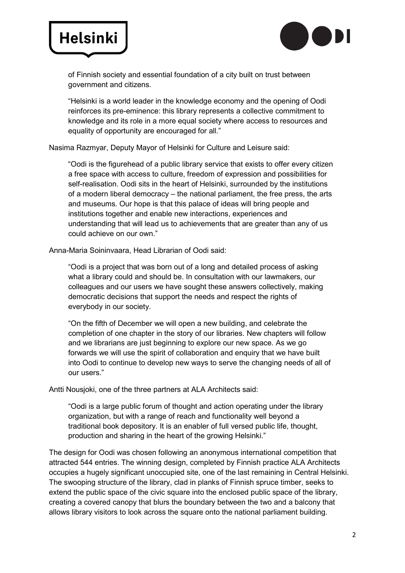# **Helsinki**



of Finnish society and essential foundation of a city built on trust between government and citizens.

"Helsinki is a world leader in the knowledge economy and the opening of Oodi reinforces its pre-eminence: this library represents a collective commitment to knowledge and its role in a more equal society where access to resources and equality of opportunity are encouraged for all."

Nasima Razmyar, Deputy Mayor of Helsinki for Culture and Leisure said:

"Oodi is the figurehead of a public library service that exists to offer every citizen a free space with access to culture, freedom of expression and possibilities for self-realisation. Oodi sits in the heart of Helsinki, surrounded by the institutions of a modern liberal democracy – the national parliament, the free press, the arts and museums. Our hope is that this palace of ideas will bring people and institutions together and enable new interactions, experiences and understanding that will lead us to achievements that are greater than any of us could achieve on our own."

Anna-Maria Soininvaara, Head Librarian of Oodi said:

"Oodi is a project that was born out of a long and detailed process of asking what a library could and should be. In consultation with our lawmakers, our colleagues and our users we have sought these answers collectively, making democratic decisions that support the needs and respect the rights of everybody in our society.

"On the fifth of December we will open a new building, and celebrate the completion of one chapter in the story of our libraries. New chapters will follow and we librarians are just beginning to explore our new space. As we go forwards we will use the spirit of collaboration and enquiry that we have built into Oodi to continue to develop new ways to serve the changing needs of all of our users."

Antti Nousjoki, one of the three partners at ALA Architects said:

"Oodi is a large public forum of thought and action operating under the library organization, but with a range of reach and functionality well beyond a traditional book depository. It is an enabler of full versed public life, thought, production and sharing in the heart of the growing Helsinki."

The design for Oodi was chosen following an anonymous international competition that attracted 544 entries. The winning design, completed by Finnish practice ALA Architects occupies a hugely significant unoccupied site, one of the last remaining in Central Helsinki. The swooping structure of the library, clad in planks of Finnish spruce timber, seeks to extend the public space of the civic square into the enclosed public space of the library, creating a covered canopy that blurs the boundary between the two and a balcony that allows library visitors to look across the square onto the national parliament building.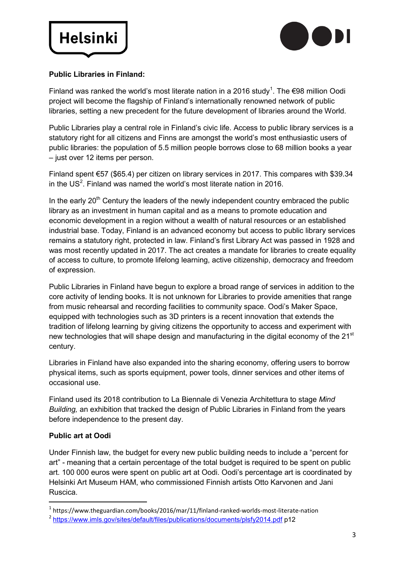



### **Public Libraries in Finland:**

Finland was ranked the world's most literate nation in a 20[1](#page-2-0)6 study<sup>1</sup>. The  $\epsilon$ 98 million Oodi project will become the flagship of Finland's internationally renowned network of public libraries, setting a new precedent for the future development of libraries around the World.

Public Libraries play a central role in Finland's civic life. Access to public library services is a statutory right for all citizens and Finns are amongst the world's most enthusiastic users of public libraries: the population of 5.5 million people borrows close to 68 million books a year – just over 12 items per person.

Finland spent €57 (\$65.4) per citizen on library services in 2017. This compares with \$39.34 in the US<sup>[2](#page-2-1)</sup>. Finland was named the world's most literate nation in 2016.

In the early  $20<sup>th</sup>$  Century the leaders of the newly independent country embraced the public library as an investment in human capital and as a means to promote education and economic development in a region without a wealth of natural resources or an established industrial base. Today, Finland is an advanced economy but access to public library services remains a statutory right, protected in law. Finland's first Library Act was passed in 1928 and was most recently updated in 2017. The act creates a mandate for libraries to create equality of access to culture, to promote lifelong learning, active citizenship, democracy and freedom of expression.

Public Libraries in Finland have begun to explore a broad range of services in addition to the core activity of lending books. It is not unknown for Libraries to provide amenities that range from music rehearsal and recording facilities to community space. Oodi's Maker Space, equipped with technologies such as 3D printers is a recent innovation that extends the tradition of lifelong learning by giving citizens the opportunity to access and experiment with new technologies that will shape design and manufacturing in the digital economy of the 21<sup>st</sup> century.

Libraries in Finland have also expanded into the sharing economy, offering users to borrow physical items, such as sports equipment, power tools, dinner services and other items of occasional use.

Finland used its 2018 contribution to La Biennale di Venezia Architettura to stage *Mind Building,* an exhibition that tracked the design of Public Libraries in Finland from the years before independence to the present day.

#### **Public art at Oodi**

Under Finnish law, the budget for every new public building needs to include a "percent for art" - meaning that a certain percentage of the total budget is required to be spent on public art. 100 000 euros were spent on public art at Oodi. Oodi's percentage art is coordinated by Helsinki Art Museum HAM, who commissioned Finnish artists Otto Karvonen and Jani Ruscica.

<span id="page-2-0"></span> <sup>1</sup> https://www.theguardian.com/books/2016/mar/11/finland-ranked-worlds-most-literate-nation

<span id="page-2-1"></span><sup>&</sup>lt;sup>2</sup> <https://www.imls.gov/sites/default/files/publications/documents/plsfy2014.pdf> p12